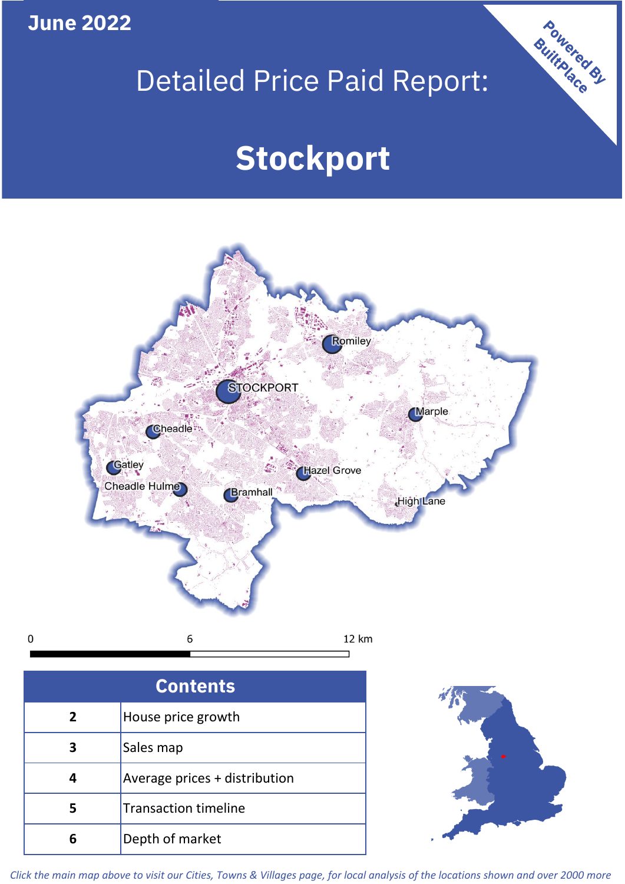**June 2022**

 $\mathbf 0$ 

# Detailed Price Paid Report:

# **Stockport**



| <b>Contents</b> |                               |  |  |
|-----------------|-------------------------------|--|--|
| $\overline{2}$  | House price growth            |  |  |
| 3               | Sales map                     |  |  |
|                 | Average prices + distribution |  |  |
|                 | <b>Transaction timeline</b>   |  |  |
|                 | Depth of market               |  |  |



Powered By

*Click the main map above to visit our Cities, Towns & Villages page, for local analysis of the locations shown and over 2000 more*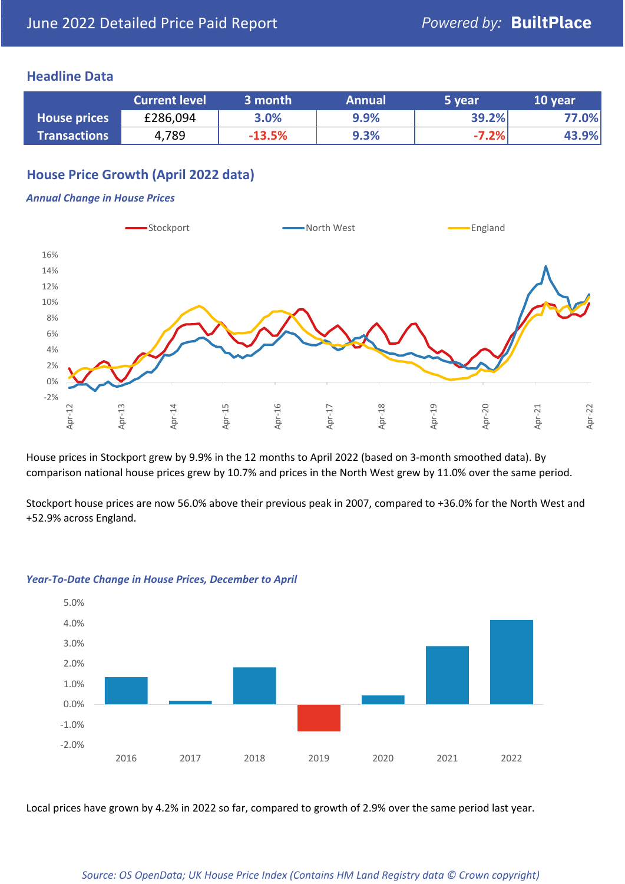# **Headline Data**

|                     | <b>Current level</b> | 3 month   | <b>Annual</b> | 5 year  | 10 year |
|---------------------|----------------------|-----------|---------------|---------|---------|
| <b>House prices</b> | £286,094             | 3.0%      | 9.9%          | 39.2%   | 77.0%   |
| <b>Transactions</b> | 4,789                | $-13.5\%$ | 9.3%          | $-7.2%$ | 43.9%   |

# **House Price Growth (April 2022 data)**

#### *Annual Change in House Prices*



House prices in Stockport grew by 9.9% in the 12 months to April 2022 (based on 3-month smoothed data). By comparison national house prices grew by 10.7% and prices in the North West grew by 11.0% over the same period.

Stockport house prices are now 56.0% above their previous peak in 2007, compared to +36.0% for the North West and +52.9% across England.



#### *Year-To-Date Change in House Prices, December to April*

Local prices have grown by 4.2% in 2022 so far, compared to growth of 2.9% over the same period last year.

#### *Source: OS OpenData; UK House Price Index (Contains HM Land Registry data © Crown copyright)*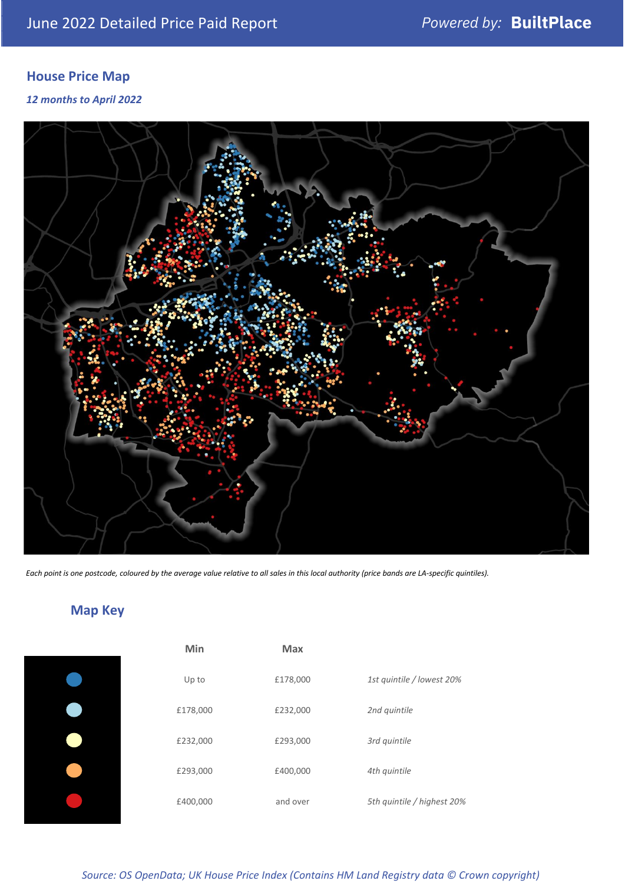# **House Price Map**

*12 months to April 2022*



*Each point is one postcode, coloured by the average value relative to all sales in this local authority (price bands are LA-specific quintiles).*

**Map Key**

| Min      | <b>Max</b> |                            |
|----------|------------|----------------------------|
| Up to    | £178,000   | 1st quintile / lowest 20%  |
| £178,000 | £232,000   | 2nd quintile               |
| £232,000 | £293,000   | 3rd quintile               |
| £293,000 | £400,000   | 4th quintile               |
| £400,000 | and over   | 5th quintile / highest 20% |

#### *Source: OS OpenData; UK House Price Index (Contains HM Land Registry data © Crown copyright)*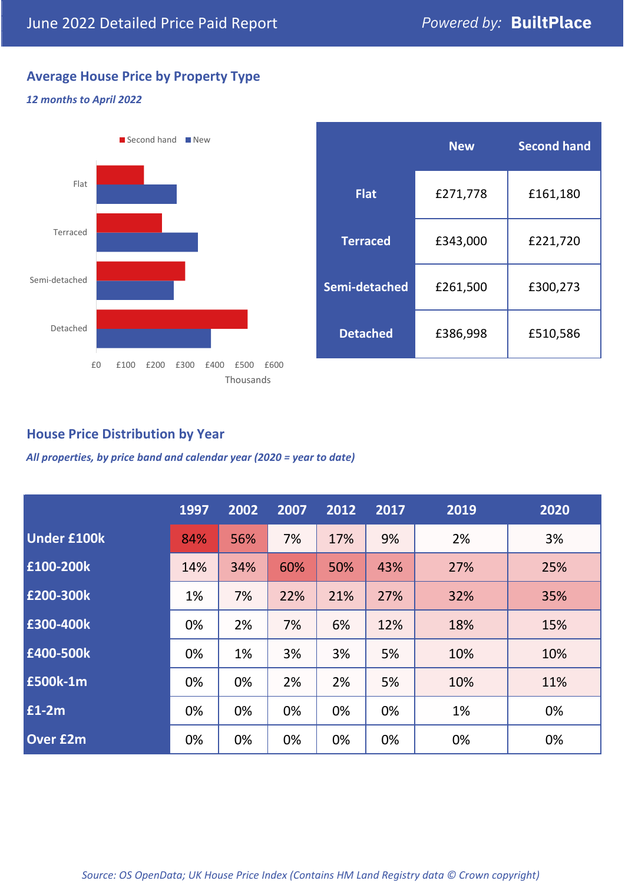# **Average House Price by Property Type**

## *12 months to April 2022*



|                 | <b>New</b> | <b>Second hand</b> |  |  |
|-----------------|------------|--------------------|--|--|
| <b>Flat</b>     | £271,778   | £161,180           |  |  |
| <b>Terraced</b> | £343,000   | £221,720           |  |  |
| Semi-detached   | £261,500   | £300,273           |  |  |
| <b>Detached</b> | £386,998   | £510,586           |  |  |

# **House Price Distribution by Year**

*All properties, by price band and calendar year (2020 = year to date)*

|                    | 1997 | 2002 | 2007 | 2012 | 2017 | 2019 | 2020 |
|--------------------|------|------|------|------|------|------|------|
| <b>Under £100k</b> | 84%  | 56%  | 7%   | 17%  | 9%   | 2%   | 3%   |
| £100-200k          | 14%  | 34%  | 60%  | 50%  | 43%  | 27%  | 25%  |
| E200-300k          | 1%   | 7%   | 22%  | 21%  | 27%  | 32%  | 35%  |
| £300-400k          | 0%   | 2%   | 7%   | 6%   | 12%  | 18%  | 15%  |
| £400-500k          | 0%   | 1%   | 3%   | 3%   | 5%   | 10%  | 10%  |
| £500k-1m           | 0%   | 0%   | 2%   | 2%   | 5%   | 10%  | 11%  |
| £1-2m              | 0%   | 0%   | 0%   | 0%   | 0%   | 1%   | 0%   |
| <b>Over £2m</b>    | 0%   | 0%   | 0%   | 0%   | 0%   | 0%   | 0%   |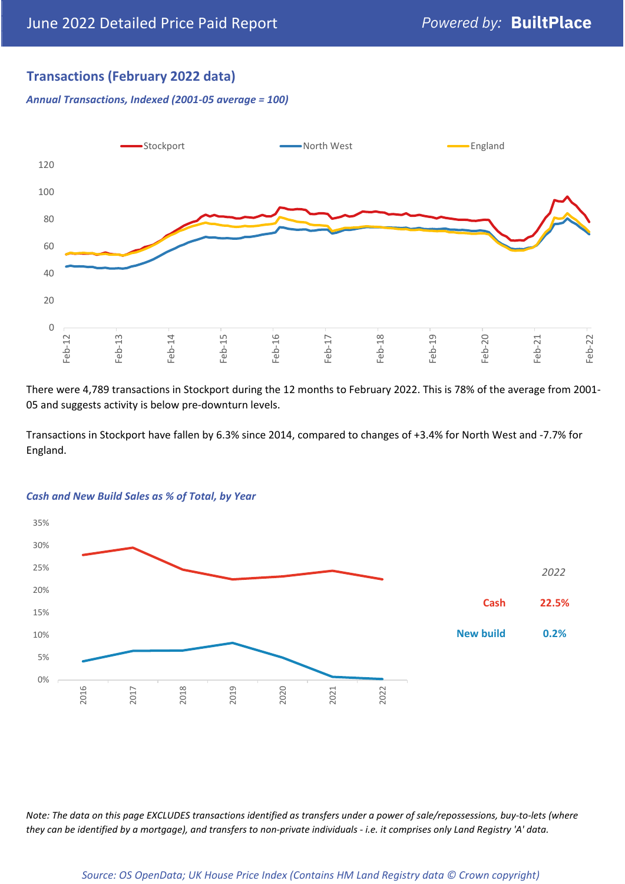# **Transactions (February 2022 data)**

*Annual Transactions, Indexed (2001-05 average = 100)*



There were 4,789 transactions in Stockport during the 12 months to February 2022. This is 78% of the average from 2001- 05 and suggests activity is below pre-downturn levels.

Transactions in Stockport have fallen by 6.3% since 2014, compared to changes of +3.4% for North West and -7.7% for England.



#### *Cash and New Build Sales as % of Total, by Year*

*Note: The data on this page EXCLUDES transactions identified as transfers under a power of sale/repossessions, buy-to-lets (where they can be identified by a mortgage), and transfers to non-private individuals - i.e. it comprises only Land Registry 'A' data.*